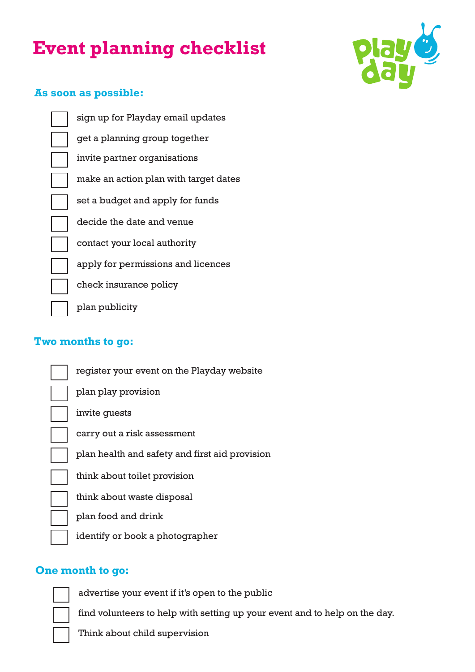# **Event planning checklist**



## **As soon as possible:**

get a planning group together contact your local authority make an action plan with target dates sign up for Playday email updates set a budget and apply for funds decide the date and venue invite partner organisations apply for permissions and licences check insurance policy plan publicity

# **Two months to go:**

| register your event on the Playday website     |
|------------------------------------------------|
| plan play provision                            |
| invite guests                                  |
| carry out a risk assessment                    |
| plan health and safety and first aid provision |
| think about toilet provision                   |
| think about waste disposal                     |
| plan food and drink                            |
| identify or book a photographer                |
|                                                |

## **One month to go:**

advertise your event if it's open to the public

find volunteers to help with setting up your event and to help on the day.

Think about child supervision